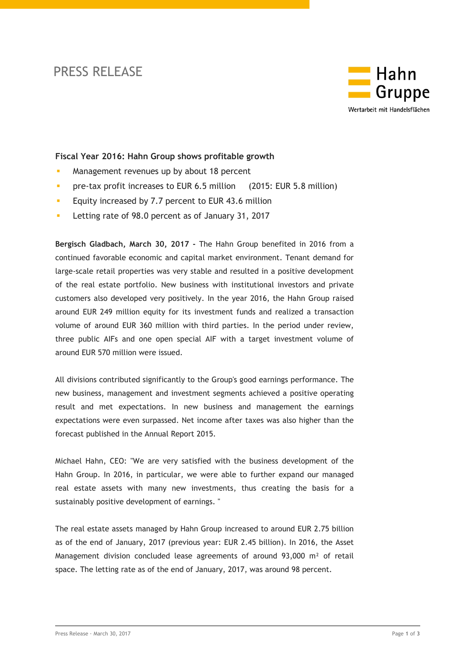# PRESS RELEASE



# **Fiscal Year 2016: Hahn Group shows profitable growth**

- **Management revenues up by about 18 percent**
- **Pre-tax profit increases to EUR 6.5 million** (2015: EUR 5.8 million)
- **Equity increased by 7.7 percent to EUR 43.6 million**
- **Letting rate of 98.0 percent as of January 31, 2017**

**Bergisch Gladbach, March 30, 2017 -** The Hahn Group benefited in 2016 from a continued favorable economic and capital market environment. Tenant demand for large-scale retail properties was very stable and resulted in a positive development of the real estate portfolio. New business with institutional investors and private customers also developed very positively. In the year 2016, the Hahn Group raised around EUR 249 million equity for its investment funds and realized a transaction volume of around EUR 360 million with third parties. In the period under review, three public AIFs and one open special AIF with a target investment volume of around EUR 570 million were issued.

All divisions contributed significantly to the Group's good earnings performance. The new business, management and investment segments achieved a positive operating result and met expectations. In new business and management the earnings expectations were even surpassed. Net income after taxes was also higher than the forecast published in the Annual Report 2015.

Michael Hahn, CEO: "We are very satisfied with the business development of the Hahn Group. In 2016, in particular, we were able to further expand our managed real estate assets with many new investments, thus creating the basis for a sustainably positive development of earnings. "

The real estate assets managed by Hahn Group increased to around EUR 2.75 billion as of the end of January, 2017 (previous year: EUR 2.45 billion). In 2016, the Asset Management division concluded lease agreements of around 93,000 m<sup>2</sup> of retail space. The letting rate as of the end of January, 2017, was around 98 percent.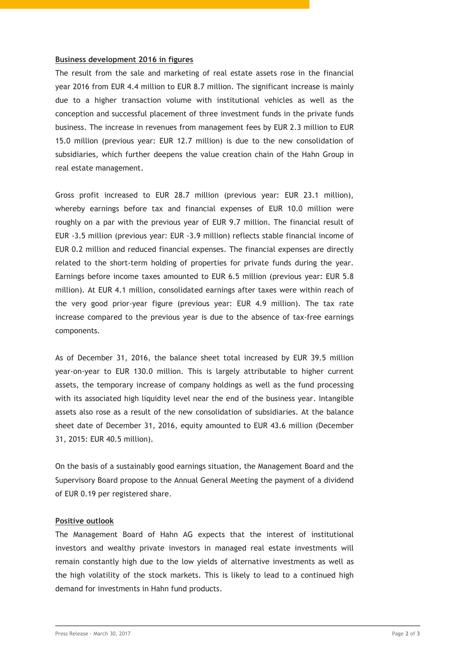## **Business development 2016 in figures**

The result from the sale and marketing of real estate assets rose in the financial year 2016 from EUR 4.4 million to EUR 8.7 million. The significant increase is mainly due to a higher transaction volume with institutional vehicles as well as the conception and successful placement of three investment funds in the private funds business. The increase in revenues from management fees by EUR 2.3 million to EUR 15.0 million (previous year: EUR 12.7 million) is due to the new consolidation of subsidiaries, which further deepens the value creation chain of the Hahn Group in real estate management.

Gross profit increased to EUR 28.7 million (previous year: EUR 23.1 million), whereby earnings before tax and financial expenses of EUR 10.0 million were roughly on a par with the previous year of EUR 9.7 million. The financial result of EUR -3.5 million (previous year: EUR -3.9 million) reflects stable financial income of EUR 0.2 million and reduced financial expenses. The financial expenses are directly related to the short-term holding of properties for private funds during the year. Earnings before income taxes amounted to EUR 6.5 million (previous year: EUR 5.8 million). At EUR 4.1 million, consolidated earnings after taxes were within reach of the very good prior-year figure (previous year: EUR 4.9 million). The tax rate increase compared to the previous year is due to the absence of tax-free earnings components.

As of December 31, 2016, the balance sheet total increased by EUR 39.5 million year-on-year to EUR 130.0 million. This is largely attributable to higher current assets, the temporary increase of company holdings as well as the fund processing with its associated high liquidity level near the end of the business year. Intangible assets also rose as a result of the new consolidation of subsidiaries. At the balance sheet date of December 31, 2016, equity amounted to EUR 43.6 million (December 31, 2015: EUR 40.5 million).

On the basis of a sustainably good earnings situation, the Management Board and the Supervisory Board propose to the Annual General Meeting the payment of a dividend of EUR 0.19 per registered share.

### **Positive outlook**

The Management Board of Hahn AG expects that the interest of institutional investors and wealthy private investors in managed real estate investments will remain constantly high due to the low yields of alternative investments as well as the high volatility of the stock markets. This is likely to lead to a continued high demand for investments in Hahn fund products.